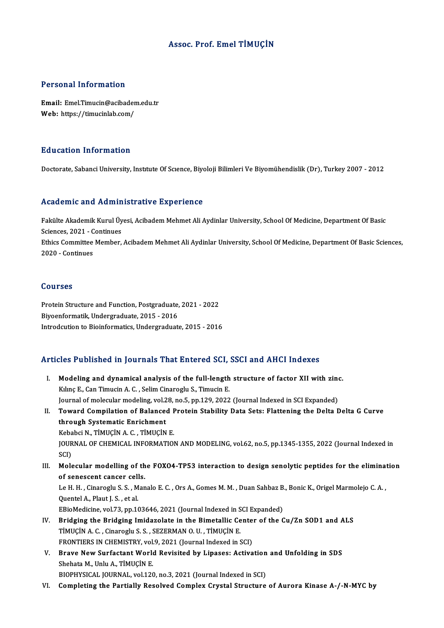# Assoc. Prof. Emel TİMUÇİN

# Personal Information

Email: Emel.Timucin@acibadem.edu.tr Web: https://timucinlab.com/

## Education Information

Doctorate, Sabanci University, Institute Of Science, Biyoloji Bilimleri Ve Biyomühendislik (Dr), Turkey 2007 - 2012

## Academic and Administrative Experience

Academic and Administrative Experience<br>Fakülte Akademik Kurul Üyesi, Acibadem Mehmet Ali Aydinlar University, School Of Medicine, Department Of Basic<br>Sciences 2021 - Centinues reau entre una rrumm<br>Fakülte Akademik Kurul Üy<br>Sciences, 2021 - Continues<br>Ethies Committee Member Fakülte Akademik Kurul Üyesi, Acibadem Mehmet Ali Aydinlar University, School Of Medicine, Department Of Basic<br>Sciences, 2021 - Continues<br>Ethics Committee Member, Acibadem Mehmet Ali Aydinlar University, School Of Medicine Sciences, 2021 - Continues<br>Ethics Committee Member, Acibadem Mehmet Ali Aydinlar University, School Of Medicine, Department Of Basic Sciences,<br>2020 - Continues

# Courses

Courses<br>Protein Structure and Function, Postgraduate, 2021 - 2022<br>Pivoonformatik Undergraduate, 2015 - 2016 **Biourbos<br>Protein Structure and Function, Postgraduate,<br>Biyoenformatik, Undergraduate, 2015 - 2016**<br>Introdeution to Bioinformatics, Undergraduat Protein Structure and Function, Postgraduate, 2021 - 2022<br>Biyoenformatik, Undergraduate, 2015 - 2016<br>Introdcution to Bioinformatics, Undergraduate, 2015 - 2016

# Introdcution to Bioinformatics, Undergraduate, 2015 - 2016<br>Articles Published in Journals That Entered SCI, SSCI and AHCI Indexes

- rticles Published in Journals That Entered SCI, SSCI and AHCI Indexes<br>I. Modeling and dynamical analysis of the full-length structure of factor XII with zinc.<br>Kiling E. Can Timugin A. C. Selim Ginanaghi S. Timugin E. Modeling and dynamical analysis of the full-length<br>Kılınç E., Can Timucin A. C. , Selim Cinaroglu S., Timucin E.<br>Journal of molecular modeling vol 29, no 5, nn 129, 2022 Modeling and dynamical analysis of the full-length structure of factor XII with zine<br>Kılınç E., Can Timucin A. C. , Selim Cinaroglu S., Timucin E.<br>Journal of molecular modeling, vol.28, no.5, pp.129, 2022 (Journal Indexed Kılınç E., Can Timucin A. C. , Selim Cinaroglu S., Timucin E.<br>Journal of molecular modeling, vol.28, no.5, pp.129, 2022 (Journal Indexed in SCI Expanded)<br>II. Toward Compilation of Balanced Protein Stability Data Sets: Journal of molecular modeling, vol.2<br>Toward Compilation of Balance<br>through Systematic Enrichment<br>Kebabsi N. TiMICIN A.C. TIMICIN Toward Compilation of Balanced F<br>through Systematic Enrichment<br>Kebabci N., TİMUÇİN A. C. , TİMUÇİN E.<br>JOUPNAL OF CHEMICAL INFORMATION through Systematic Enrichment<br>Kebabci N., TİMUÇİN A. C. , TİMUÇİN E.<br>JOURNAL OF CHEMICAL INFORMATION AND MODELING, vol.62, no.5, pp.1345-1355, 2022 (Journal Indexed in<br>SCD Keba<br>JOUR<br>SCI)<br>Mole JOURNAL OF CHEMICAL INFORMATION AND MODELING, vol.62, no.5, pp.1345-1355, 2022 (Journal Indexed in<br>SCI)<br>III. Molecular modelling of the FOXO4-TP53 interaction to design senolytic peptides for the elimination<br>of senessent s SCI)<br>Molecular modelling of th<br>of senescent cancer cells.<br>Le H H - Ginaroglu S.S. Man III. Molecular modelling of the FOXO4-TP53 interaction to design senolytic peptides for the elimination<br>of senescent cancer cells.<br>Le H. H., Cinaroglu S.S., Manalo E.C., Ors A., Gomes M. M., Duan Sahbaz B., Bonic K., Orige of senescent cancer cell<br>Le H. H. , Cinaroglu S. S. , M<br>Quentel A., Plaut J. S. , et al.<br>EPioModisino, vol 72, nn 10 Le H. H. , Cinaroglu S. S. , Manalo E. C. , Ors A., Gomes M. M. , Duan Sahbaz B<br>Quentel A., Plaut J. S. , et al.<br>EBioMedicine, vol.73, pp.103646, 2021 (Journal Indexed in SCI Expanded)<br>Pridging the Pridging Imideralate in Quentel A., Plaut J. S., et al.<br>EBioMedicine, vol.73, pp.103646, 2021 (Journal Indexed in SCI Expanded)<br>IV. Bridging the Bridging Imidazolate in the Bimetallic Center of the Cu/Zn SOD1 and ALS<br>TIMUCIN A.C. Cinerealy S.S. S EBioMedicine, vol.73, pp.103646, 2021 (Journal Indexed in S<br>Bridging the Bridging Imidazolate in the Bimetallic Ce<br>TİMUÇİN A.C., Cinaroglu S.S., SEZERMANO.U., TİMUÇİN E.<br>ERONTIERS IN CHEMISTRY vol.9.2021 (Journal Indoved i Bridging the Bridging Imidazolate in the Bimetallic Center<br>TIMUÇIN A. C., Cinaroglu S. S., SEZERMAN O. U., TIMUÇIN E.<br>FRONTIERS IN CHEMISTRY, vol.9, 2021 (Journal Indexed in SCI)<br>Prave Naw Surfactant World Bovisited by Lin TIMUÇIN A. C. , Cinaroglu S. S. , SEZERMAN O. U. , TIMUÇIN E.<br>FRONTIERS IN CHEMISTRY, vol.9, 2021 (Journal Indexed in SCI)<br>V. Brave New Surfactant World Revisited by Lipases: Activation and Unfolding in SDS<br>Shehata M., Unl FRONTIERS IN CHEMISTRY, vol.9, 2021 (Journal Indexed in SCI) BIOPHYSICAL JOURNAL, vol.120, no.3, 2021 (Journal Indexed in SCI)
- VI. Completing the Partially Resolved Complex Crystal Structure of Aurora Kinase A-/-N-MYC by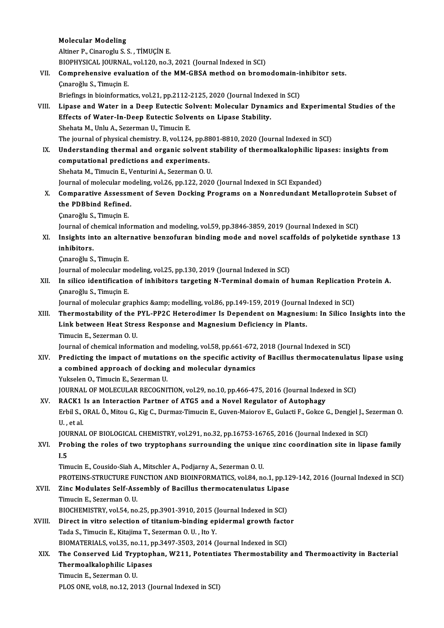|        | <b>Molecular Modeling</b>                                                                                                                                                   |
|--------|-----------------------------------------------------------------------------------------------------------------------------------------------------------------------------|
|        | Altiner P., Cinaroglu S. S. , TİMUÇİN E.                                                                                                                                    |
|        | BIOPHYSICAL JOURNAL, vol.120, no.3, 2021 (Journal Indexed in SCI)                                                                                                           |
| VII.   | Comprehensive evaluation of the MM-GBSA method on bromodomain-inhibitor sets.                                                                                               |
|        | Çınaroğlu S., Timuçin E.                                                                                                                                                    |
|        | Briefings in bioinformatics, vol.21, pp.2112-2125, 2020 (Journal Indexed in SCI)                                                                                            |
| VIII.  | Lipase and Water in a Deep Eutectic Solvent: Molecular Dynamics and Experimental Studies of the                                                                             |
|        | Effects of Water-In-Deep Eutectic Solvents on Lipase Stability.                                                                                                             |
|        | Shehata M., Unlu A., Sezerman U., Timucin E.                                                                                                                                |
|        | The journal of physical chemistry. B, vol.124, pp.8801-8810, 2020 (Journal Indexed in SCI)                                                                                  |
| IX.    | Understanding thermal and organic solvent stability of thermoalkalophilic lipases: insights from                                                                            |
|        | computational predictions and experiments.                                                                                                                                  |
|        | Shehata M., Timucin E., Venturini A., Sezerman O. U.                                                                                                                        |
|        | Journal of molecular modeling, vol.26, pp.122, 2020 (Journal Indexed in SCI Expanded)                                                                                       |
| X.     | Comparative Assessment of Seven Docking Programs on a Nonredundant Metalloprotein Subset of                                                                                 |
|        | the PDBbind Refined.                                                                                                                                                        |
|        | Çınaroğlu S., Timuçin E.                                                                                                                                                    |
|        | Journal of chemical information and modeling, vol.59, pp.3846-3859, 2019 (Journal Indexed in SCI)                                                                           |
| XI.    | Insights into an alternative benzofuran binding mode and novel scaffolds of polyketide synthase 13                                                                          |
|        | inhibitors.                                                                                                                                                                 |
|        | Çınaroğlu S., Timuçin E.                                                                                                                                                    |
|        | Journal of molecular modeling, vol.25, pp.130, 2019 (Journal Indexed in SCI)                                                                                                |
| XII.   | In silico identification of inhibitors targeting N-Terminal domain of human Replication Protein A.                                                                          |
|        | Çınaroğlu S., Timuçin E.<br>Journal of molecular graphics & modelling, vol.86, pp.149-159, 2019 (Journal Indexed in SCI)                                                    |
| XIII.  | Thermostability of the PYL-PP2C Heterodimer Is Dependent on Magnesium: In Silico Insights into the                                                                          |
|        | Link between Heat Stress Response and Magnesium Deficiency in Plants.                                                                                                       |
|        | Timucin E., Sezerman O.U.                                                                                                                                                   |
|        | Journal of chemical information and modeling, vol.58, pp.661-672, 2018 (Journal Indexed in SCI)                                                                             |
| XIV.   | Predicting the impact of mutations on the specific activity of Bacillus thermocatenulatus lipase using                                                                      |
|        | a combined approach of docking and molecular dynamics                                                                                                                       |
|        | Yukselen O., Timucin E., Sezerman U.                                                                                                                                        |
|        | JOURNAL OF MOLECULAR RECOGNITION, vol.29, no.10, pp.466-475, 2016 (Journal Indexed in SCI)                                                                                  |
| XV.    | RACK1 Is an Interaction Partner of ATG5 and a Novel Regulator of Autophagy                                                                                                  |
|        | Erbil S., ORAL Ö., Mitou G., Kig C., Durmaz-Timucin E., Guven-Maiorov E., Gulacti F., Gokce G., Dengjel J., Sezerman O.                                                     |
|        | U, et al.                                                                                                                                                                   |
|        | JOURNAL OF BIOLOGICAL CHEMISTRY, vol.291, no.32, pp.16753-16765, 2016 (Journal Indexed in SCI)                                                                              |
| XVI.   | Probing the roles of two tryptophans surrounding the unique zinc coordination site in lipase family                                                                         |
|        | 1.5                                                                                                                                                                         |
|        | Timucin E., Cousido-Siah A., Mitschler A., Podjarny A., Sezerman O. U.                                                                                                      |
|        | PROTEINS-STRUCTURE FUNCTION AND BIOINFORMATICS, vol.84, no.1, pp.129-142, 2016 (Journal Indexed in SCI)                                                                     |
| XVII.  | Zinc Modulates Self-Assembly of Bacillus thermocatenulatus Lipase                                                                                                           |
|        | Timucin E., Sezerman O. U.                                                                                                                                                  |
|        | BIOCHEMISTRY, vol.54, no.25, pp.3901-3910, 2015 (Journal Indexed in SCI)                                                                                                    |
| XVIII. | Direct in vitro selection of titanium-binding epidermal growth factor                                                                                                       |
|        | Tada S., Timucin E., Kitajima T., Sezerman O. U., Ito Y.                                                                                                                    |
| XIX.   | BIOMATERIALS, vol.35, no.11, pp.3497-3503, 2014 (Journal Indexed in SCI)<br>The Conserved Lid Tryptophan, W211, Potentiates Thermostability and Thermoactivity in Bacterial |
|        | Thermoalkalophilic Lipases                                                                                                                                                  |
|        | Timucin E., Sezerman O. U.                                                                                                                                                  |
|        | PLOS ONE, vol.8, no.12, 2013 (Journal Indexed in SCI)                                                                                                                       |
|        |                                                                                                                                                                             |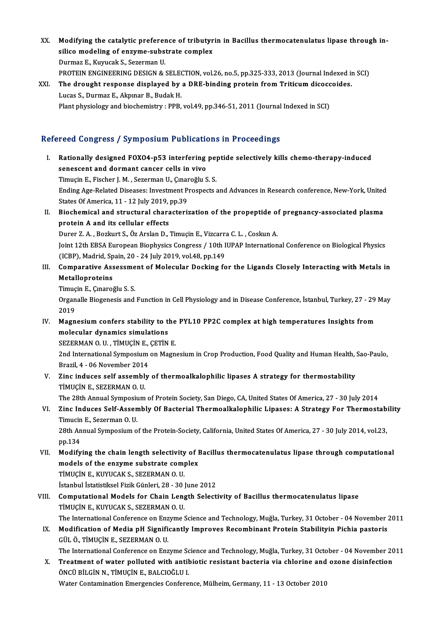- XX. Modifying the catalytic preference of tributyrin in Bacillus thermocatenulatus lipase through in-<br>silies modeling of engume substrate complex Modifying the catalytic preference of tributyr<br>silico modeling of enzyme-substrate complex<br>Durmer E. Kuweek S. Segermen H Modifying the catalytic preferer<br>silico modeling of enzyme-subs<br>Durmaz E., Kuyucak S., Sezerman U.<br>PROTEIN ENCINEERING DESICN & S silico modeling of enzyme-substrate complex<br>Durmaz E., Kuyucak S., Sezerman U.<br>PROTEIN ENGINEERING DESIGN & SELECTION, vol.26, no.5, pp.325-333, 2013 (Journal Indexed in SCI)<br>The dreught response displayed by a DBE binding Durmaz E., Kuyucak S., Sezerman U.<br>PROTEIN ENGINEERING DESIGN & SELECTION, vol.26, no.5, pp.325-333, 2013 (Journal Indexed in<br>XXI. The drought response displayed by a DRE-binding protein from Triticum dicoccoides.
- PROTEIN ENGINEERING DESIGN & SELECTRE<br>The drought response displayed by<br>Lucas S., Durmaz E., Akpınar B., Budak H.<br>Blant physiology and biochamistry , PPP The drought response displayed by a DRE-binding protein from Triticum dicocc<br>Lucas S., Durmaz E., Akpınar B., Budak H.<br>Plant physiology and biochemistry : PPB, vol.49, pp.346-51, 2011 (Journal Indexed in SCI) Plant physiology and biochemistry : PPB, vol.49, pp.346-51, 2011 (Journal Indexed in SCI)<br>Refereed Congress / Symposium Publications in Proceedings

efereed Congress / Symposium Publications in Proceedings<br>I. Rationally designed FOXO4-p53 interfering peptide selectively kills chemo-therapy-induced<br>concessort and dermant sensor sells in vive seculosity of hymposium in ushouted<br>Rationally designed FOXO4-p53 interfering<br>senescent and dormant cancer cells in vivo<br>Timugin E. Eischen J. M. Sezerman II. Cunapeğlu S Rationally designed FOXO4-p53 interfering pe<sub>l</sub><br>senescent and dormant cancer cells in vivo<br>Timuçin E., Fischer J.M. , Sezerman U., Çınaroğlu S.S.<br>Ending Age Belated Diseases: Investment Prespects : senescent and dormant cancer cells in vivo<br>Timuçin E., Fischer J. M. , Sezerman U., Çınaroğlu S. S.<br>Ending Age-Related Diseases: Investment Prospects and Advances in Research conference, New-York, United<br>States Of America, Timuçin E., Fischer J. M., Sezerman U., Çınaroğlu S. S. Ending Age-Related Diseases: Investment Prospects and Advances in Research conference, New-York, United<br>States Of America, 11 - 12 July 2019, pp.39<br>II. Biochemical and structural characterization of the propeptide of pregn States Of America, 11 - 12 July 2019,<br>Biochemical and structural chara<br>protein A and its cellular effects<br>Duren Z.A., Borlaut S. Öz Arelan D. Biochemical and structural characterization of the propeptide of<br>protein A and its cellular effects<br>Durer Z. A. , Bozkurt S., Öz Arslan D., Timuçin E., Vizcarra C. L. , Coskun A.<br>Joint 12th EBSA European Bionhygies Congres

protein A and its cellular effects<br>Durer Z. A. , Bozkurt S., Öz Arslan D., Timuçin E., Vizcarra C. L. , Coskun A.<br>Joint 12th EBSA European Biophysics Congress / 10th IUPAP International Conference on Biological Physics Durer Z. A., Bozkurt S., Öz Arslan D., Timuçin E., Vizcarra C. L., Coskun A. Joint 12th EBSA European Biophysics Congress / 10th IUPAP International Conference on Biological Physics<br>(ICBP), Madrid, Spain, 20 - 24 July 2019, vol.48, pp.149<br>III. Comparative Assessment of Molecular Docking for the Lig

(ICBP), Madrid, Spain, 20 - 24 July 2019, vol.48, pp.149<br>Comparative Assessment of Molecular Docking fo<br>Metalloproteins<br>Timuçin E., Çınaroğlu S. S. Comparative Assessme<br>Metalloproteins<br>Timuçin E., Çınaroğlu S. S.<br>Organelle Biogenesis and

Metalloproteins<br>Timuçin E., Çınaroğlu S. S.<br>Organalle Biogenesis and Function in Cell Physiology and in Disease Conference, İstanbul, Turkey, 27 - 29 May<br>2019 Timuç<br>Organ<br>2019<br>Magn Organalle Biogenesis and Function in Cell Physiology and in Disease Conference, İstanbul, Turkey, 27 - 29<br>2019<br>IV. Magnesium confers stability to the PYL10 PP2C complex at high temperatures Insights from<br>mologylar dynamics

2019<br>Magnesium confers stability to the<br>molecular dynamics simulations<br>SEZEPMAN O U - TIMUCIN E-CETIN Magnesium confers stability to the<br>molecular dynamics simulations<br>SEZERMAN O. U., TİMUÇİN E., ÇETİN E.<br>2nd International Sumnesium on Megn

molecular dynamics simulations<br>SEZERMAN O. U. , TİMUÇİN E., ÇETİN E.<br>2nd International Symposium on Magnesium in Crop Production, Food Quality and Human Health, Sao-Paulo,<br>Prasil 4, .06 November 2014. SEZERMAN O. U. , TİMUÇİN E.,<br>2nd International Symposium<br>Brazil, 4 - 06 November 2014<br>Zine induses self assemblu 2nd International Symposium on Magnesium in Crop Production, Food Quality and Human Health, 3<br>Brazil, 4 - 06 November 2014<br>V. Zinc induces self assembly of thermoalkalophilic lipases A strategy for thermostability<br>TIMUCIN

Brazil, 4 - 06 November 2014<br>Zinc induces self assembly<br>TİMUÇİN E., SEZERMAN O. U.<br>The 29th Annual Sumnosium Zinc induces self assembly of thermoalkalophilic lipases A strategy for thermostability<br>TiMUÇIN E., SEZERMAN O. U.<br>The 28th Annual Symposium of Protein Society, San Diego, CA, United States Of America, 27 - 30 July 2014<br>Zi

TİMUÇİN E., SEZERMAN O. U.<br>The 28th Annual Symposium of Protein Society, San Diego, CA, United States Of America, 27 - 30 July 2014<br>VI. Zinc Induces Self-Assembly Of Bacterial Thermoalkalophilic Lipases: A Strategy For The The 28th Annual Symposiu<br>**Zinc Induces Self-Assen**<br>Timucin E., Sezerman O. U.<br>29th Annual Symposium o Zinc Induces Self-Assembly Of Bacterial Thermoalkalophilic Lipases: A Strategy For Thermostab<br>Timucin E., Sezerman O. U.<br>28th Annual Symposium of the Protein-Society, California, United States Of America, 27 - 30 July 2014

Timucin E., Sezerman O. U.<br>28th Annual Symposium of the Protein-Society, California, United States Of America, 27 - 30 July 2014, vol.23,<br>pp.134 28th Annual Symposium of the Protein-Society, California, United States Of America, 27 - 30 July 2014, vol.23,<br>pp.134<br>VII. Modifying the chain length selectivity of Bacillus thermocatenulatus lipase through computational<br>m

pp.134<br>Modifying the chain length selectivity of I<br>models of the enzyme substrate complex<br>TiMUCIN E, KUVUCAK S, SEZERMAN O U Modifying the chain length selectivity<br>models of the enzyme substrate comprimity is a substrate of the enzyme substrate comprimity of the substrate of the set of the set of the set of the set of the set of the set of the s models of the enzyme substrate complex<br>TİMUÇİN E., KUYUCAK S., SEZERMAN O. U.<br>İstanbul İstatistiksel Fizik Günleri, 28 - 30 June 2012<br>Computational Models for Chain Longth Selecti

- TIMUÇIN E., KUYUCAK S., SEZERMAN O. U.<br>Istanbul Istatistiksel Fizik Günleri, 28 30 June 2012<br>VIII. Computational Models for Chain Length Selectivity of Bacillus thermocatenulatus lipase<br>TIMUÇIN E., KUYUCAK S., SEZERMAN O İstanbul İstatistiksel Fizik Günleri, 28 - 30 ]<br>Computational Models for Chain Leng<br>TİMUÇİN E., KUYUCAK S., SEZERMAN O. U.<br>The International Conference on Engume ( Computational Models for Chain Length Selectivity of Bacillus thermocatenulatus lipase<br>TİMUÇİN E., KUYUCAK S., SEZERMAN O. U.<br>The International Conference on Enzyme Science and Technology, Muğla, Turkey, 31 October - 04 No TİMUÇİN E., KUYUCAK S., SEZERMAN O. U.<br>The International Conference on Enzyme Science and Technology, Muğla, Turkey, 31 October - 04 November 2<br>IX. Modification of Media pH Significantly Improves Recombinant Protein Stabil
	- The International Conference on Enz<br>Modification of Media pH Signifi<br>GÜL Ö., TİMUÇİN E., SEZERMAN O. U.<br>The International Conference on Enz Modification of Media pH Significantly Improves Recombinant Protein Stabilityin Pichia pastoris<br>GÜL Ö., TİMUÇİN E., SEZERMAN O. U.<br>The International Conference on Enzyme Science and Technology, Muğla, Turkey, 31 October -

GÜL Ö., TİMUÇİN E., SEZERMAN O. U.<br>The International Conference on Enzyme Science and Technology, Muğla, Turkey, 31 October - 04 November 20<br>X. Treatment of water polluted with antibiotic resistant bacteria via chlorin The International Conference on Enzyme Sc<br>Treatment of water polluted with antil<br>ÖNCÜ BİLGİN N., TİMUÇİN E., BALCIOĞLU I.<br>Water Contemination Emergensies Confere Treatment of water polluted with antibiotic resistant bacteria via chlorine and<br>ÖNCÜ BİLGİN N., TİMUÇİN E., BALCIOĞLU I.<br>Water Contamination Emergencies Conference, Mülheim, Germany, 11 - 13 October 2010